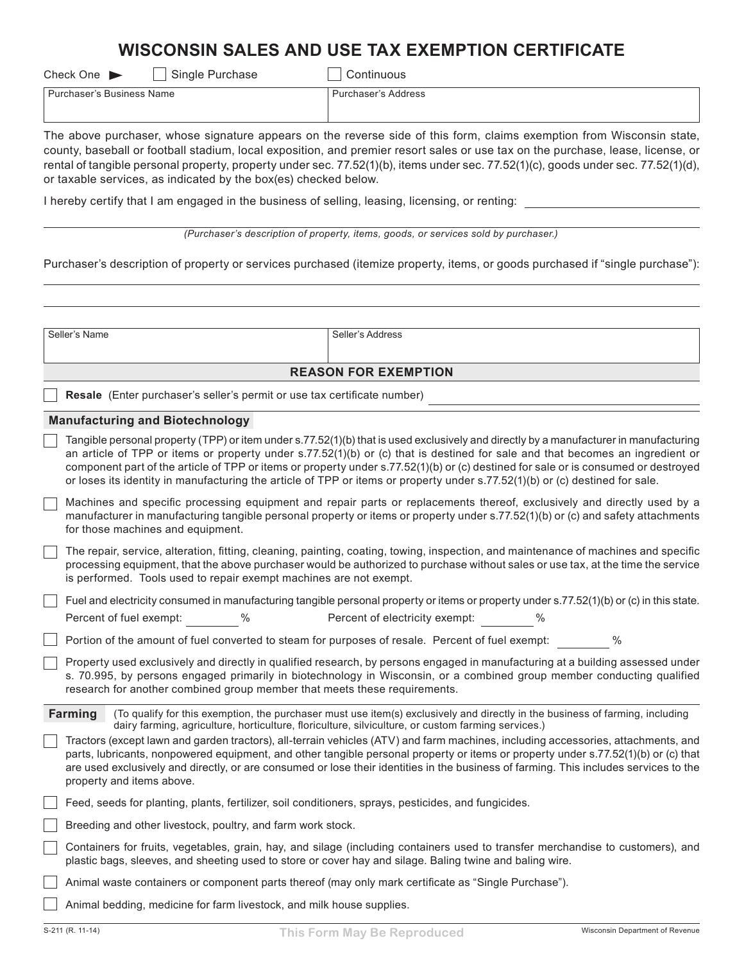# **WISCONSIN SALES AND USE TAX EXEMPTION CERTIFICATE**

| Check One |  |
|-----------|--|
|-----------|--|

Single Purchase Continuous

Purchaser's Business Name Purchaser's Address

The above purchaser, whose signature appears on the reverse side of this form, claims exemption from Wisconsin state, county, baseball or football stadium, local exposition, and premier resort sales or use tax on the purchase, lease, license, or rental of tangible personal property, property under sec. 77.52(1)(b), items under sec. 77.52(1)(c), goods under sec. 77.52(1)(d), or taxable services, as indicated by the box(es) checked below.

I hereby certify that I am engaged in the business of selling, leasing, licensing, or renting:

*(Purchaser's description of property, items, goods, or services sold by purchaser.)*

Purchaser's description of property or services purchased (itemize property, items, or goods purchased if "single purchase"):

| Seller's Name<br>Seller's Address                                                                                                                                                                                                                                                                                                                                                                                                                                                                                                            |  |  |  |  |  |  |  |
|----------------------------------------------------------------------------------------------------------------------------------------------------------------------------------------------------------------------------------------------------------------------------------------------------------------------------------------------------------------------------------------------------------------------------------------------------------------------------------------------------------------------------------------------|--|--|--|--|--|--|--|
| <b>REASON FOR EXEMPTION</b>                                                                                                                                                                                                                                                                                                                                                                                                                                                                                                                  |  |  |  |  |  |  |  |
| Resale (Enter purchaser's seller's permit or use tax certificate number)                                                                                                                                                                                                                                                                                                                                                                                                                                                                     |  |  |  |  |  |  |  |
| <b>Manufacturing and Biotechnology</b>                                                                                                                                                                                                                                                                                                                                                                                                                                                                                                       |  |  |  |  |  |  |  |
| Tangible personal property (TPP) or item under s.77.52(1)(b) that is used exclusively and directly by a manufacturer in manufacturing<br>an article of TPP or items or property under s.77.52(1)(b) or (c) that is destined for sale and that becomes an ingredient or<br>component part of the article of TPP or items or property under s.77.52(1)(b) or (c) destined for sale or is consumed or destroyed<br>or loses its identity in manufacturing the article of TPP or items or property under s.77.52(1)(b) or (c) destined for sale. |  |  |  |  |  |  |  |
| Machines and specific processing equipment and repair parts or replacements thereof, exclusively and directly used by a<br>manufacturer in manufacturing tangible personal property or items or property under s.77.52(1)(b) or (c) and safety attachments<br>for those machines and equipment.                                                                                                                                                                                                                                              |  |  |  |  |  |  |  |
| The repair, service, alteration, fitting, cleaning, painting, coating, towing, inspection, and maintenance of machines and specific<br>processing equipment, that the above purchaser would be authorized to purchase without sales or use tax, at the time the service<br>is performed. Tools used to repair exempt machines are not exempt.                                                                                                                                                                                                |  |  |  |  |  |  |  |
| Fuel and electricity consumed in manufacturing tangible personal property or items or property under s.77.52(1)(b) or (c) in this state.                                                                                                                                                                                                                                                                                                                                                                                                     |  |  |  |  |  |  |  |
| Percent of electricity exempt:<br>$\%$<br>Percent of fuel exempt:<br>$\%$                                                                                                                                                                                                                                                                                                                                                                                                                                                                    |  |  |  |  |  |  |  |
| Portion of the amount of fuel converted to steam for purposes of resale. Percent of fuel exempt:<br>$\%$                                                                                                                                                                                                                                                                                                                                                                                                                                     |  |  |  |  |  |  |  |
| Property used exclusively and directly in qualified research, by persons engaged in manufacturing at a building assessed under<br>s. 70.995, by persons engaged primarily in biotechnology in Wisconsin, or a combined group member conducting qualified<br>research for another combined group member that meets these requirements.                                                                                                                                                                                                        |  |  |  |  |  |  |  |
| Farming<br>(To qualify for this exemption, the purchaser must use item(s) exclusively and directly in the business of farming, including<br>dairy farming, agriculture, horticulture, floriculture, silviculture, or custom farming services.)                                                                                                                                                                                                                                                                                               |  |  |  |  |  |  |  |
| Tractors (except lawn and garden tractors), all-terrain vehicles (ATV) and farm machines, including accessories, attachments, and<br>parts, lubricants, nonpowered equipment, and other tangible personal property or items or property under s.77.52(1)(b) or (c) that<br>are used exclusively and directly, or are consumed or lose their identities in the business of farming. This includes services to the<br>property and items above.                                                                                                |  |  |  |  |  |  |  |
| Feed, seeds for planting, plants, fertilizer, soil conditioners, sprays, pesticides, and fungicides.                                                                                                                                                                                                                                                                                                                                                                                                                                         |  |  |  |  |  |  |  |
| Breeding and other livestock, poultry, and farm work stock.                                                                                                                                                                                                                                                                                                                                                                                                                                                                                  |  |  |  |  |  |  |  |
| Containers for fruits, vegetables, grain, hay, and silage (including containers used to transfer merchandise to customers), and<br>plastic bags, sleeves, and sheeting used to store or cover hay and silage. Baling twine and baling wire.                                                                                                                                                                                                                                                                                                  |  |  |  |  |  |  |  |
| Animal waste containers or component parts thereof (may only mark certificate as "Single Purchase").                                                                                                                                                                                                                                                                                                                                                                                                                                         |  |  |  |  |  |  |  |
| Animal bedding, medicine for farm livestock, and milk house supplies.                                                                                                                                                                                                                                                                                                                                                                                                                                                                        |  |  |  |  |  |  |  |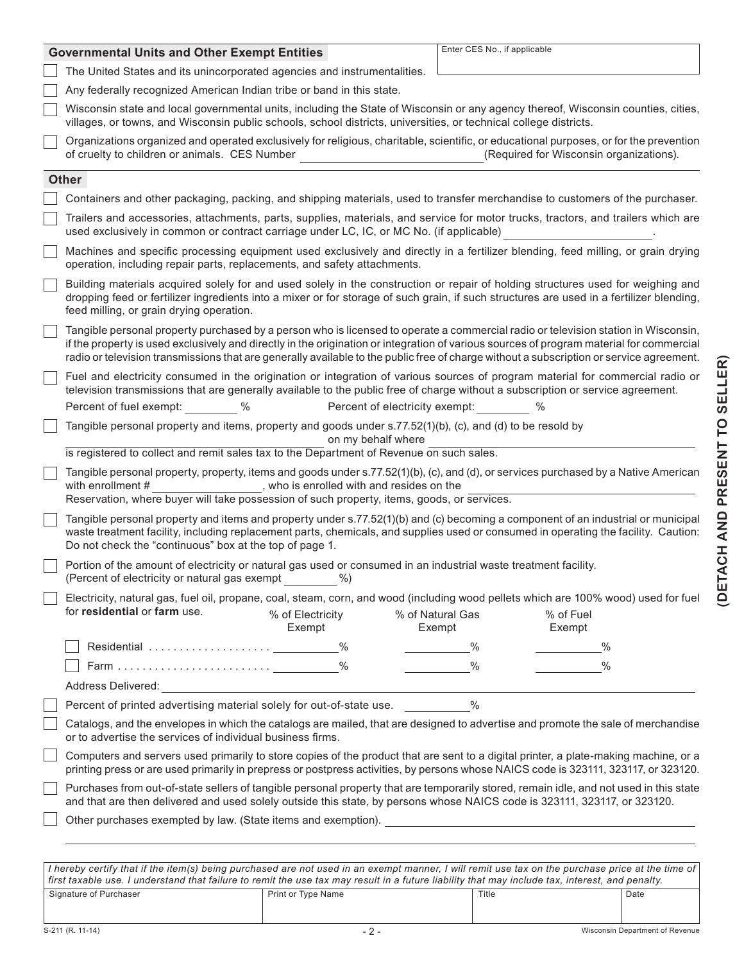|                                                                                                                                  | <b>Governmental Units and Other Exempt Entities</b>                                                                                                                                                                                                                                                                                                                                                                        | Enter CES No., if applicable                      |  |  |  |  |
|----------------------------------------------------------------------------------------------------------------------------------|----------------------------------------------------------------------------------------------------------------------------------------------------------------------------------------------------------------------------------------------------------------------------------------------------------------------------------------------------------------------------------------------------------------------------|---------------------------------------------------|--|--|--|--|
|                                                                                                                                  | The United States and its unincorporated agencies and instrumentalities.                                                                                                                                                                                                                                                                                                                                                   |                                                   |  |  |  |  |
|                                                                                                                                  | Any federally recognized American Indian tribe or band in this state.                                                                                                                                                                                                                                                                                                                                                      |                                                   |  |  |  |  |
|                                                                                                                                  | Wisconsin state and local governmental units, including the State of Wisconsin or any agency thereof, Wisconsin counties, cities,<br>villages, or towns, and Wisconsin public schools, school districts, universities, or technical college districts.                                                                                                                                                                     |                                                   |  |  |  |  |
|                                                                                                                                  | Organizations organized and operated exclusively for religious, charitable, scientific, or educational purposes, or for the prevention<br>of cruelty to children or animals. CES Number                                                                                                                                                                                                                                    | (Required for Wisconsin organizations).           |  |  |  |  |
|                                                                                                                                  | <b>Other</b>                                                                                                                                                                                                                                                                                                                                                                                                               |                                                   |  |  |  |  |
|                                                                                                                                  | Containers and other packaging, packing, and shipping materials, used to transfer merchandise to customers of the purchaser.                                                                                                                                                                                                                                                                                               |                                                   |  |  |  |  |
|                                                                                                                                  | Trailers and accessories, attachments, parts, supplies, materials, and service for motor trucks, tractors, and trailers which are<br>used exclusively in common or contract carriage under LC, IC, or MC No. (if applicable)                                                                                                                                                                                               |                                                   |  |  |  |  |
|                                                                                                                                  | Machines and specific processing equipment used exclusively and directly in a fertilizer blending, feed milling, or grain drying<br>operation, including repair parts, replacements, and safety attachments.                                                                                                                                                                                                               |                                                   |  |  |  |  |
|                                                                                                                                  | Building materials acquired solely for and used solely in the construction or repair of holding structures used for weighing and<br>dropping feed or fertilizer ingredients into a mixer or for storage of such grain, if such structures are used in a fertilizer blending,<br>feed milling, or grain drying operation.                                                                                                   |                                                   |  |  |  |  |
|                                                                                                                                  | Tangible personal property purchased by a person who is licensed to operate a commercial radio or television station in Wisconsin,<br>if the property is used exclusively and directly in the origination or integration of various sources of program material for commercial<br>radio or television transmissions that are generally available to the public free of charge without a subscription or service agreement. |                                                   |  |  |  |  |
|                                                                                                                                  | Fuel and electricity consumed in the origination or integration of various sources of program material for commercial radio or<br>television transmissions that are generally available to the public free of charge without a subscription or service agreement.<br>Percent of fuel exempt: %<br>Percent of electricity exempt: $\%$                                                                                      |                                                   |  |  |  |  |
|                                                                                                                                  |                                                                                                                                                                                                                                                                                                                                                                                                                            |                                                   |  |  |  |  |
| Tangible personal property and items, property and goods under s.77.52(1)(b), (c), and (d) to be resold by<br>on my behalf where |                                                                                                                                                                                                                                                                                                                                                                                                                            |                                                   |  |  |  |  |
|                                                                                                                                  | is registered to collect and remit sales tax to the Department of Revenue on such sales.                                                                                                                                                                                                                                                                                                                                   |                                                   |  |  |  |  |
|                                                                                                                                  | Tangible personal property, property, items and goods under s.77.52(1)(b), (c), and (d), or services purchased by a Native American<br>with enrollment #<br>, who is enrolled with and resides on the<br>Reservation, where buyer will take possession of such property, items, goods, or services.                                                                                                                        |                                                   |  |  |  |  |
|                                                                                                                                  | Tangible personal property and items and property under s.77.52(1)(b) and (c) becoming a component of an industrial or municipal<br>waste treatment facility, including replacement parts, chemicals, and supplies used or consumed in operating the facility. Caution:<br>Do not check the "continuous" box at the top of page 1.                                                                                         |                                                   |  |  |  |  |
|                                                                                                                                  | Portion of the amount of electricity or natural gas used or consumed in an industrial waste treatment facility.<br>(Percent of electricity or natural gas exempt %)                                                                                                                                                                                                                                                        |                                                   |  |  |  |  |
|                                                                                                                                  | Electricity, natural gas, fuel oil, propane, coal, steam, corn, and wood (including wood pellets which are 100% wood) used for fuel                                                                                                                                                                                                                                                                                        |                                                   |  |  |  |  |
|                                                                                                                                  | for residential or farm use.<br>% of Electricity<br>Exempt                                                                                                                                                                                                                                                                                                                                                                 | % of Fuel<br>% of Natural Gas<br>Exempt<br>Exempt |  |  |  |  |
|                                                                                                                                  |                                                                                                                                                                                                                                                                                                                                                                                                                            | $\%$<br>$\%$                                      |  |  |  |  |
|                                                                                                                                  |                                                                                                                                                                                                                                                                                                                                                                                                                            | $\%$<br>$\%$                                      |  |  |  |  |
|                                                                                                                                  | Address Delivered: National Address Delivered:                                                                                                                                                                                                                                                                                                                                                                             |                                                   |  |  |  |  |
|                                                                                                                                  | Percent of printed advertising material solely for out-of-state use. 48                                                                                                                                                                                                                                                                                                                                                    |                                                   |  |  |  |  |
|                                                                                                                                  | Catalogs, and the envelopes in which the catalogs are mailed, that are designed to advertise and promote the sale of merchandise<br>or to advertise the services of individual business firms.                                                                                                                                                                                                                             |                                                   |  |  |  |  |
|                                                                                                                                  | Computers and servers used primarily to store copies of the product that are sent to a digital printer, a plate-making machine, or a<br>printing press or are used primarily in prepress or postpress activities, by persons whose NAICS code is 323111, 323117, or 323120.                                                                                                                                                |                                                   |  |  |  |  |
|                                                                                                                                  | Purchases from out-of-state sellers of tangible personal property that are temporarily stored, remain idle, and not used in this state<br>and that are then delivered and used solely outside this state, by persons whose NAICS code is 323111, 323117, or 323120.                                                                                                                                                        |                                                   |  |  |  |  |
|                                                                                                                                  | Other purchases exempted by law. (State items and exemption). <u>Contract and the contract of the contract of the contract of the contract of the contract of the contract of the contract of the contract of the contract of th</u>                                                                                                                                                                                       |                                                   |  |  |  |  |
|                                                                                                                                  |                                                                                                                                                                                                                                                                                                                                                                                                                            |                                                   |  |  |  |  |

| I hereby certify that if the item(s) being purchased are not used in an exempt manner. I will remit use tax on the purchase price at the time of |                    |       |      |  |  |  |
|--------------------------------------------------------------------------------------------------------------------------------------------------|--------------------|-------|------|--|--|--|
| first taxable use. I understand that failure to remit the use tax may result in a future liability that may include tax, interest, and penalty.  |                    |       |      |  |  |  |
| Signature of Purchaser                                                                                                                           | Print or Type Name | Title | Date |  |  |  |
|                                                                                                                                                  |                    |       |      |  |  |  |

**(DETACH AND PRESENT TO SELLER)**

(DETACH AND PRESENT TO SELLER)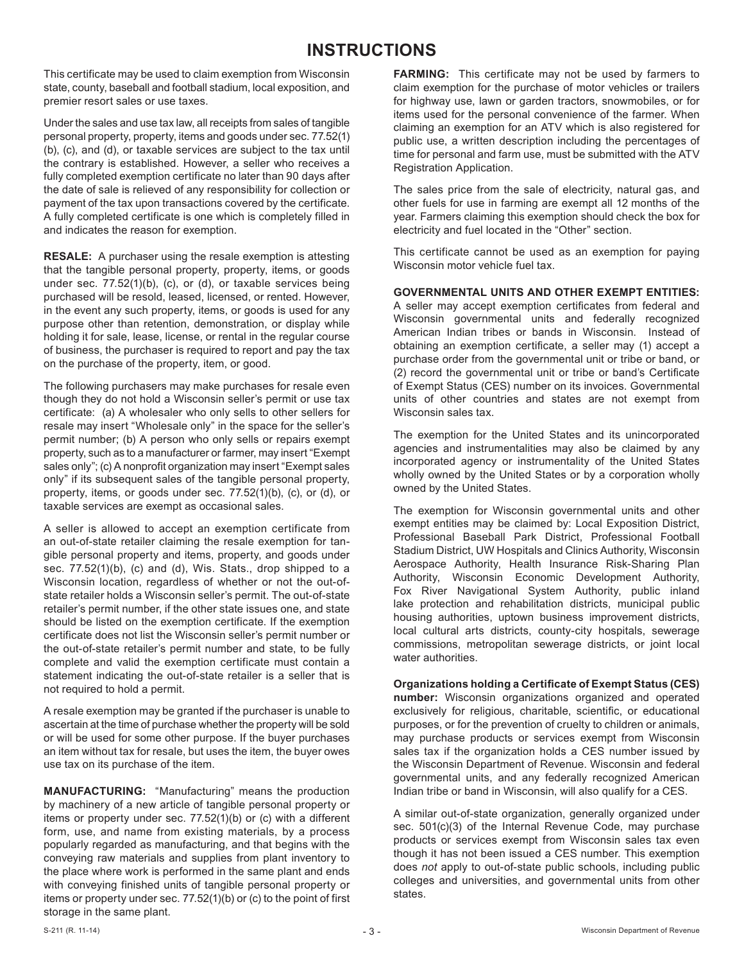## **INSTRUCTIONS**

This certificate may be used to claim exemption from Wisconsin state, county, baseball and football stadium, local exposition, and premier resort sales or use taxes.

Under the sales and use tax law, all receipts from sales of tangible personal property, property, items and goods under sec. 77.52(1) (b), (c), and (d), or taxable services are subject to the tax until the contrary is established. However, a seller who receives a fully completed exemption certificate no later than 90 days after the date of sale is relieved of any responsibility for collection or payment of the tax upon transactions covered by the certificate. A fully completed certificate is one which is completely filled in and indicates the reason for exemption.

**RESALE:** A purchaser using the resale exemption is attesting that the tangible personal property, property, items, or goods under sec. 77.52(1)(b), (c), or (d), or taxable services being purchased will be resold, leased, licensed, or rented. However, in the event any such property, items, or goods is used for any purpose other than retention, demonstration, or display while holding it for sale, lease, license, or rental in the regular course of business, the purchaser is required to report and pay the tax on the purchase of the property, item, or good.

The following purchasers may make purchases for resale even though they do not hold a Wisconsin seller's permit or use tax certificate: (a) A wholesaler who only sells to other sellers for resale may insert "Wholesale only" in the space for the seller's permit number; (b) A person who only sells or repairs exempt property, such as to a manufacturer or farmer, may insert "Exempt sales only"; (c) A nonprofit organization may insert "Exempt sales only" if its subsequent sales of the tangible personal property, property, items, or goods under sec. 77.52(1)(b), (c), or (d), or taxable services are exempt as occasional sales.

A seller is allowed to accept an exemption certificate from an out-of-state retailer claiming the resale exemption for tangible personal property and items, property, and goods under sec. 77.52(1)(b), (c) and (d), Wis. Stats., drop shipped to a Wisconsin location, regardless of whether or not the out-ofstate retailer holds a Wisconsin seller's permit. The out-of-state retailer's permit number, if the other state issues one, and state should be listed on the exemption certificate. If the exemption certificate does not list the Wisconsin seller's permit number or the out-of-state retailer's permit number and state, to be fully complete and valid the exemption certificate must contain a statement indicating the out-of-state retailer is a seller that is not required to hold a permit.

A resale exemption may be granted if the purchaser is unable to ascertain at the time of purchase whether the property will be sold or will be used for some other purpose. If the buyer purchases an item without tax for resale, but uses the item, the buyer owes use tax on its purchase of the item.

**MANUFACTURING:** "Manufacturing" means the production by machinery of a new article of tangible personal property or items or property under sec. 77.52(1)(b) or (c) with a different form, use, and name from existing materials, by a process popularly regarded as manufacturing, and that begins with the conveying raw materials and supplies from plant inventory to the place where work is performed in the same plant and ends with conveying finished units of tangible personal property or items or property under sec. 77.52(1)(b) or (c) to the point of first storage in the same plant.

**FARMING:** This certificate may not be used by farmers to claim exemption for the purchase of motor vehicles or trailers for highway use, lawn or garden tractors, snowmobiles, or for items used for the personal convenience of the farmer. When claiming an exemption for an ATV which is also registered for public use, a written description including the percentages of time for personal and farm use, must be submitted with the ATV Registration Application.

The sales price from the sale of electricity, natural gas, and other fuels for use in farming are exempt all 12 months of the year. Farmers claiming this exemption should check the box for electricity and fuel located in the "Other" section.

This certificate cannot be used as an exemption for paying Wisconsin motor vehicle fuel tax.

**GOVERNMENTAL UNITS AND OTHER EXEMPT ENTITIES:** 

A seller may accept exemption certificates from federal and Wisconsin governmental units and federally recognized American Indian tribes or bands in Wisconsin. Instead of obtaining an exemption certificate, a seller may (1) accept a purchase order from the governmental unit or tribe or band, or (2) record the governmental unit or tribe or band's Certificate of Exempt Status (CES) number on its invoices. Governmental units of other countries and states are not exempt from Wisconsin sales tax.

The exemption for the United States and its unincorporated agencies and instrumentalities may also be claimed by any incorporated agency or instrumentality of the United States wholly owned by the United States or by a corporation wholly owned by the United States.

The exemption for Wisconsin governmental units and other exempt entities may be claimed by: Local Exposition District, Professional Baseball Park District, Professional Football Stadium District, UW Hospitals and Clinics Authority, Wisconsin Aerospace Authority, Health Insurance Risk-Sharing Plan Authority, Wisconsin Economic Development Authority, Fox River Navigational System Authority, public inland lake protection and rehabilitation districts, municipal public housing authorities, uptown business improvement districts, local cultural arts districts, county-city hospitals, sewerage commissions, metropolitan sewerage districts, or joint local water authorities.

**Organizations holding a Certificate of Exempt Status (CES) number:** Wisconsin organizations organized and operated exclusively for religious, charitable, scientific, or educational purposes, or for the prevention of cruelty to children or animals, may purchase products or services exempt from Wisconsin sales tax if the organization holds a CES number issued by the Wisconsin Department of Revenue. Wisconsin and federal governmental units, and any federally recognized American Indian tribe or band in Wisconsin, will also qualify for a CES.

A similar out-of-state organization, generally organized under sec. 501(c)(3) of the Internal Revenue Code, may purchase products or services exempt from Wisconsin sales tax even though it has not been issued a CES number. This exemption does *not* apply to out-of-state public schools, including public colleges and universities, and governmental units from other states.